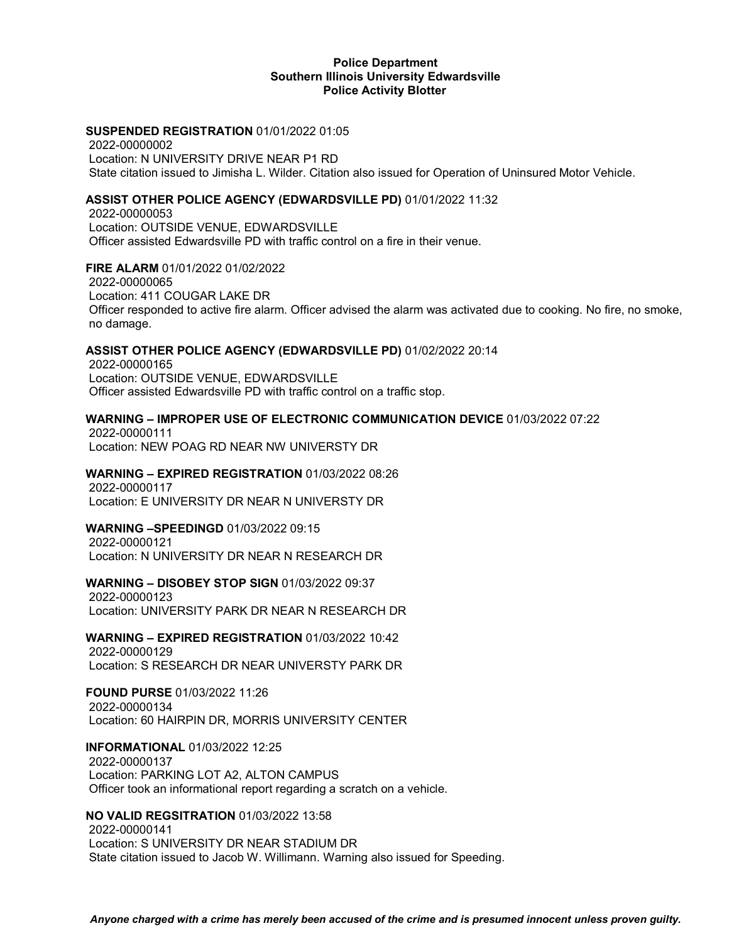### **Police Department Southern Illinois University Edwardsville Police Activity Blotter**

#### **SUSPENDED REGISTRATION** 01/01/2022 01:05

2022-00000002 Location: N UNIVERSITY DRIVE NEAR P1 RD State citation issued to Jimisha L. Wilder. Citation also issued for Operation of Uninsured Motor Vehicle.

#### **ASSIST OTHER POLICE AGENCY (EDWARDSVILLE PD)** 01/01/2022 11:32

2022-00000053 Location: OUTSIDE VENUE, EDWARDSVILLE Officer assisted Edwardsville PD with traffic control on a fire in their venue.

# **FIRE ALARM** 01/01/2022 01/02/2022

2022-00000065 Location: 411 COUGAR LAKE DR Officer responded to active fire alarm. Officer advised the alarm was activated due to cooking. No fire, no smoke, no damage.

#### **ASSIST OTHER POLICE AGENCY (EDWARDSVILLE PD)** 01/02/2022 20:14

2022-00000165 Location: OUTSIDE VENUE, EDWARDSVILLE Officer assisted Edwardsville PD with traffic control on a traffic stop.

### **WARNING – IMPROPER USE OF ELECTRONIC COMMUNICATION DEVICE** 01/03/2022 07:22

2022-00000111 Location: NEW POAG RD NEAR NW UNIVERSTY DR

#### **WARNING – EXPIRED REGISTRATION** 01/03/2022 08:26

2022-00000117 Location: E UNIVERSITY DR NEAR N UNIVERSTY DR

#### **WARNING –SPEEDINGD** 01/03/2022 09:15

2022-00000121 Location: N UNIVERSITY DR NEAR N RESEARCH DR

#### **WARNING – DISOBEY STOP SIGN** 01/03/2022 09:37

2022-00000123 Location: UNIVERSITY PARK DR NEAR N RESEARCH DR

**WARNING – EXPIRED REGISTRATION** 01/03/2022 10:42

2022-00000129 Location: S RESEARCH DR NEAR UNIVERSTY PARK DR

# **FOUND PURSE** 01/03/2022 11:26

2022-00000134 Location: 60 HAIRPIN DR, MORRIS UNIVERSITY CENTER

#### **INFORMATIONAL** 01/03/2022 12:25

2022-00000137 Location: PARKING LOT A2, ALTON CAMPUS Officer took an informational report regarding a scratch on a vehicle.

#### **NO VALID REGSITRATION** 01/03/2022 13:58

2022-00000141 Location: S UNIVERSITY DR NEAR STADIUM DR State citation issued to Jacob W. Willimann. Warning also issued for Speeding.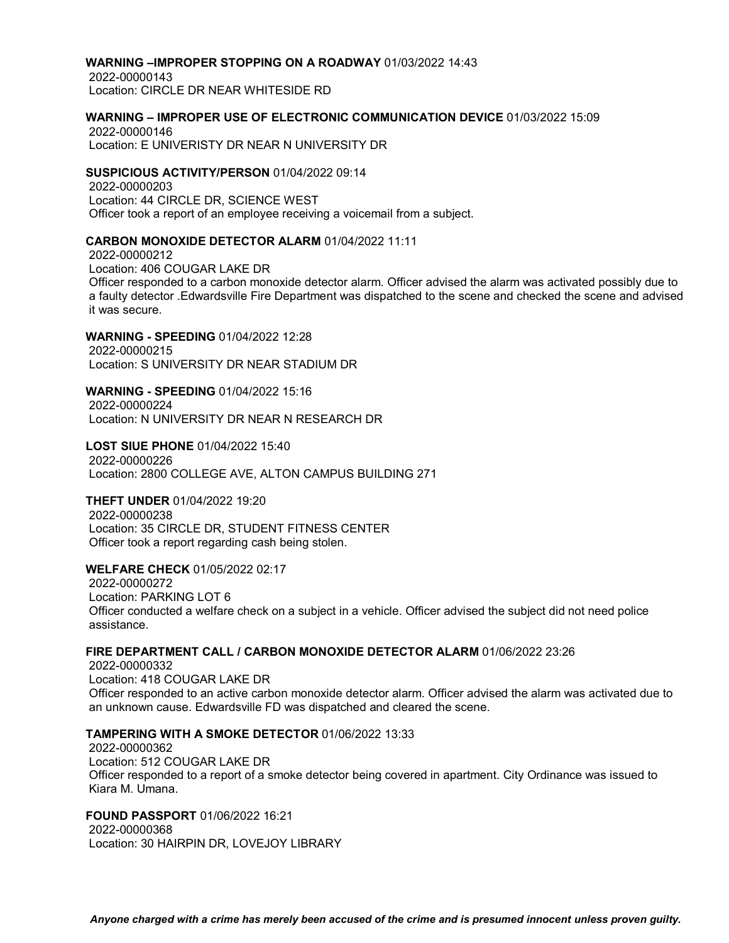#### **WARNING –IMPROPER STOPPING ON A ROADWAY** 01/03/2022 14:43

2022-00000143 Location: CIRCLE DR NEAR WHITESIDE RD

### **WARNING – IMPROPER USE OF ELECTRONIC COMMUNICATION DEVICE** 01/03/2022 15:09

2022-00000146 Location: E UNIVERISTY DR NEAR N UNIVERSITY DR

#### **SUSPICIOUS ACTIVITY/PERSON** 01/04/2022 09:14

2022-00000203 Location: 44 CIRCLE DR, SCIENCE WEST Officer took a report of an employee receiving a voicemail from a subject.

#### **CARBON MONOXIDE DETECTOR ALARM** 01/04/2022 11:11

2022-00000212 Location: 406 COUGAR LAKE DR Officer responded to a carbon monoxide detector alarm. Officer advised the alarm was activated possibly due to a faulty detector .Edwardsville Fire Department was dispatched to the scene and checked the scene and advised it was secure.

### **WARNING - SPEEDING** 01/04/2022 12:28

2022-00000215 Location: S UNIVERSITY DR NEAR STADIUM DR

**WARNING - SPEEDING** 01/04/2022 15:16 2022-00000224

Location: N UNIVERSITY DR NEAR N RESEARCH DR

**LOST SIUE PHONE** 01/04/2022 15:40 2022-00000226 Location: 2800 COLLEGE AVE, ALTON CAMPUS BUILDING 271

#### **THEFT UNDER** 01/04/2022 19:20

2022-00000238 Location: 35 CIRCLE DR, STUDENT FITNESS CENTER Officer took a report regarding cash being stolen.

# **WELFARE CHECK** 01/05/2022 02:17

2022-00000272 Location: PARKING LOT 6 Officer conducted a welfare check on a subject in a vehicle. Officer advised the subject did not need police assistance.

# **FIRE DEPARTMENT CALL / CARBON MONOXIDE DETECTOR ALARM** 01/06/2022 23:26

2022-00000332 Location: 418 COUGAR LAKE DR Officer responded to an active carbon monoxide detector alarm. Officer advised the alarm was activated due to an unknown cause. Edwardsville FD was dispatched and cleared the scene.

# **TAMPERING WITH A SMOKE DETECTOR** 01/06/2022 13:33

2022-00000362 Location: 512 COUGAR LAKE DR Officer responded to a report of a smoke detector being covered in apartment. City Ordinance was issued to Kiara M. Umana.

# **FOUND PASSPORT** 01/06/2022 16:21

2022-00000368 Location: 30 HAIRPIN DR, LOVEJOY LIBRARY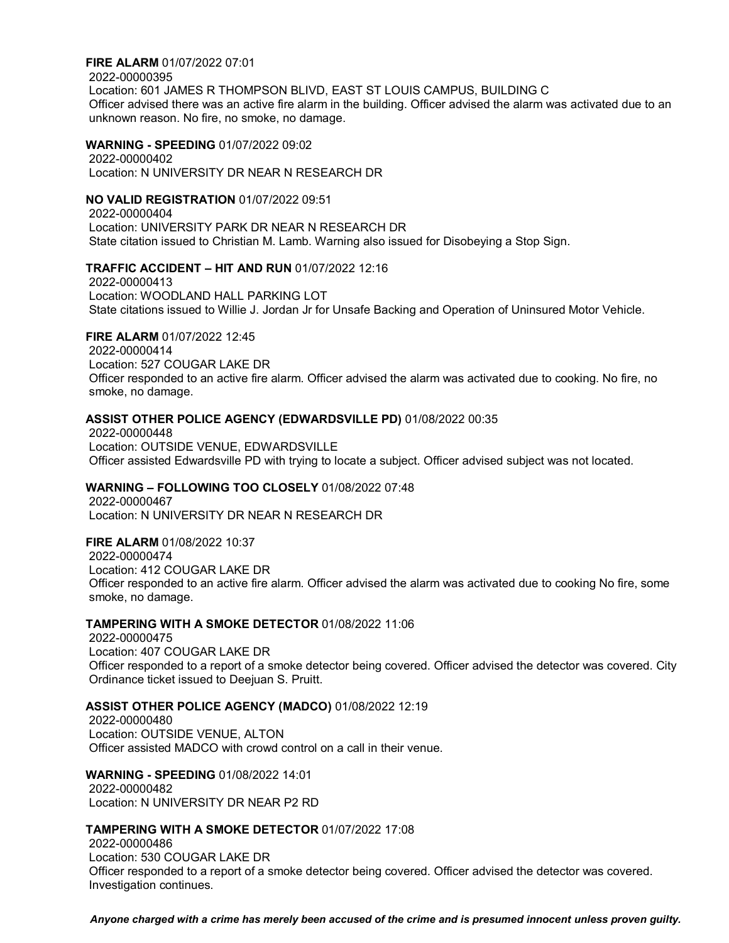#### **FIRE ALARM** 01/07/2022 07:01

2022-00000395

Location: 601 JAMES R THOMPSON BLIVD, EAST ST LOUIS CAMPUS, BUILDING C Officer advised there was an active fire alarm in the building. Officer advised the alarm was activated due to an unknown reason. No fire, no smoke, no damage.

### **WARNING - SPEEDING** 01/07/2022 09:02

2022-00000402 Location: N UNIVERSITY DR NEAR N RESEARCH DR

# **NO VALID REGISTRATION** 01/07/2022 09:51

2022-00000404 Location: UNIVERSITY PARK DR NEAR N RESEARCH DR State citation issued to Christian M. Lamb. Warning also issued for Disobeying a Stop Sign.

# **TRAFFIC ACCIDENT – HIT AND RUN** 01/07/2022 12:16

2022-00000413 Location: WOODLAND HALL PARKING LOT State citations issued to Willie J. Jordan Jr for Unsafe Backing and Operation of Uninsured Motor Vehicle.

# **FIRE ALARM** 01/07/2022 12:45

2022-00000414 Location: 527 COUGAR LAKE DR Officer responded to an active fire alarm. Officer advised the alarm was activated due to cooking. No fire, no smoke, no damage.

# **ASSIST OTHER POLICE AGENCY (EDWARDSVILLE PD)** 01/08/2022 00:35

2022-00000448 Location: OUTSIDE VENUE, EDWARDSVILLE Officer assisted Edwardsville PD with trying to locate a subject. Officer advised subject was not located.

# **WARNING – FOLLOWING TOO CLOSELY** 01/08/2022 07:48

2022-00000467 Location: N UNIVERSITY DR NEAR N RESEARCH DR

# **FIRE ALARM** 01/08/2022 10:37

2022-00000474 Location: 412 COUGAR LAKE DR Officer responded to an active fire alarm. Officer advised the alarm was activated due to cooking No fire, some smoke, no damage.

# **TAMPERING WITH A SMOKE DETECTOR** 01/08/2022 11:06

2022-00000475 Location: 407 COUGAR LAKE DR Officer responded to a report of a smoke detector being covered. Officer advised the detector was covered. City Ordinance ticket issued to Deejuan S. Pruitt.

# **ASSIST OTHER POLICE AGENCY (MADCO)** 01/08/2022 12:19

2022-00000480 Location: OUTSIDE VENUE, ALTON Officer assisted MADCO with crowd control on a call in their venue.

# **WARNING - SPEEDING** 01/08/2022 14:01

2022-00000482 Location: N UNIVERSITY DR NEAR P2 RD

#### **TAMPERING WITH A SMOKE DETECTOR** 01/07/2022 17:08

2022-00000486 Location: 530 COUGAR LAKE DR Officer responded to a report of a smoke detector being covered. Officer advised the detector was covered. Investigation continues.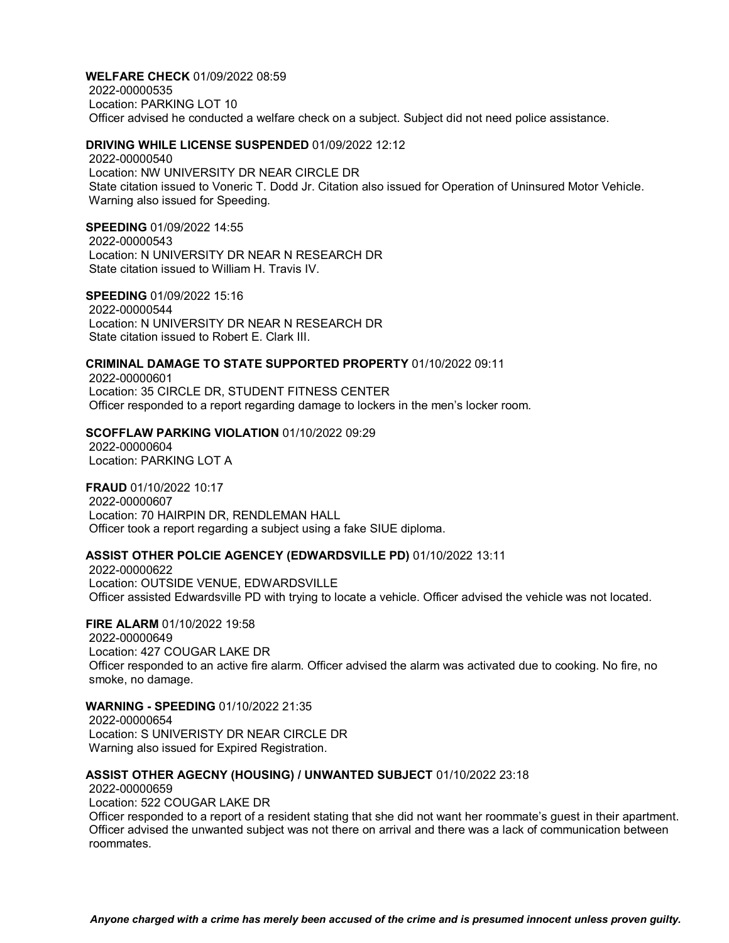**WELFARE CHECK** 01/09/2022 08:59 2022-00000535 Location: PARKING LOT 10 Officer advised he conducted a welfare check on a subject. Subject did not need police assistance.

#### **DRIVING WHILE LICENSE SUSPENDED** 01/09/2022 12:12

2022-00000540 Location: NW UNIVERSITY DR NEAR CIRCLE DR State citation issued to Voneric T. Dodd Jr. Citation also issued for Operation of Uninsured Motor Vehicle. Warning also issued for Speeding.

#### **SPEEDING** 01/09/2022 14:55

2022-00000543 Location: N UNIVERSITY DR NEAR N RESEARCH DR State citation issued to William H. Travis IV.

**SPEEDING** 01/09/2022 15:16 2022-00000544 Location: N UNIVERSITY DR NEAR N RESEARCH DR State citation issued to Robert E. Clark III.

# **CRIMINAL DAMAGE TO STATE SUPPORTED PROPERTY** 01/10/2022 09:11

2022-00000601 Location: 35 CIRCLE DR, STUDENT FITNESS CENTER Officer responded to a report regarding damage to lockers in the men's locker room.

# **SCOFFLAW PARKING VIOLATION** 01/10/2022 09:29

2022-00000604 Location: PARKING LOT A

**FRAUD** 01/10/2022 10:17 2022-00000607 Location: 70 HAIRPIN DR, RENDLEMAN HALL Officer took a report regarding a subject using a fake SIUE diploma.

#### **ASSIST OTHER POLCIE AGENCEY (EDWARDSVILLE PD)** 01/10/2022 13:11

2022-00000622 Location: OUTSIDE VENUE, EDWARDSVILLE Officer assisted Edwardsville PD with trying to locate a vehicle. Officer advised the vehicle was not located.

**FIRE ALARM** 01/10/2022 19:58 2022-00000649 Location: 427 COUGAR LAKE DR Officer responded to an active fire alarm. Officer advised the alarm was activated due to cooking. No fire, no smoke, no damage.

**WARNING - SPEEDING** 01/10/2022 21:35 2022-00000654 Location: S UNIVERISTY DR NEAR CIRCLE DR Warning also issued for Expired Registration.

#### **ASSIST OTHER AGECNY (HOUSING) / UNWANTED SUBJECT** 01/10/2022 23:18

2022-00000659

Location: 522 COUGAR LAKE DR

Officer responded to a report of a resident stating that she did not want her roommate's guest in their apartment. Officer advised the unwanted subject was not there on arrival and there was a lack of communication between roommates.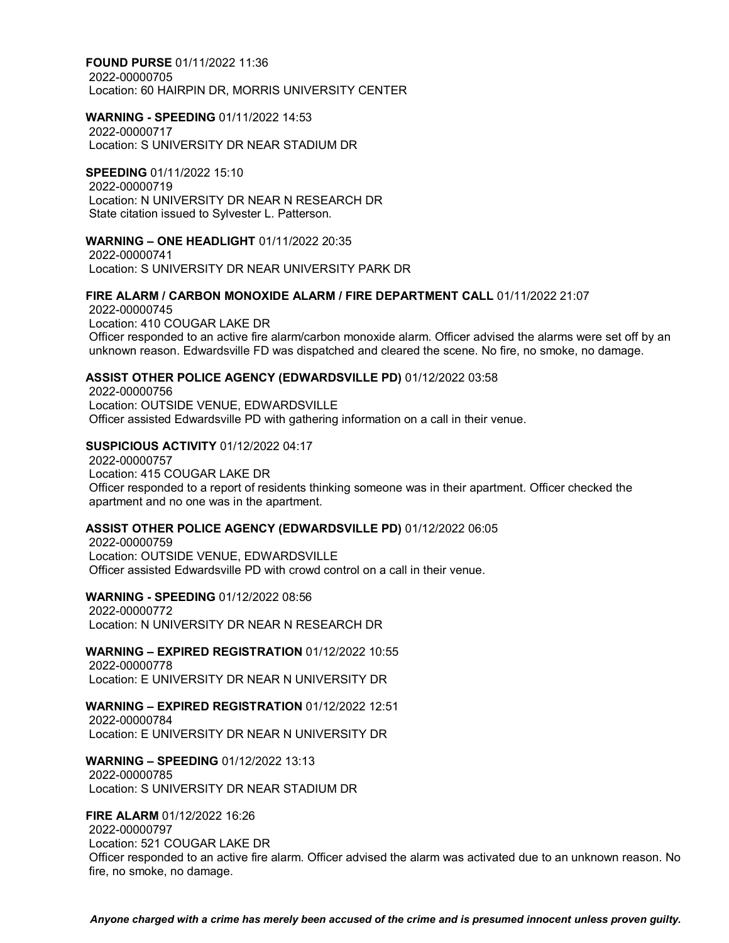**FOUND PURSE** 01/11/2022 11:36 2022-00000705 Location: 60 HAIRPIN DR, MORRIS UNIVERSITY CENTER

# **WARNING - SPEEDING** 01/11/2022 14:53

2022-00000717 Location: S UNIVERSITY DR NEAR STADIUM DR

**SPEEDING** 01/11/2022 15:10 2022-00000719 Location: N UNIVERSITY DR NEAR N RESEARCH DR State citation issued to Sylvester L. Patterson.

**WARNING – ONE HEADLIGHT** 01/11/2022 20:35 2022-00000741 Location: S UNIVERSITY DR NEAR UNIVERSITY PARK DR

# **FIRE ALARM / CARBON MONOXIDE ALARM / FIRE DEPARTMENT CALL** 01/11/2022 21:07

2022-00000745 Location: 410 COUGAR LAKE DR Officer responded to an active fire alarm/carbon monoxide alarm. Officer advised the alarms were set off by an unknown reason. Edwardsville FD was dispatched and cleared the scene. No fire, no smoke, no damage.

#### **ASSIST OTHER POLICE AGENCY (EDWARDSVILLE PD)** 01/12/2022 03:58

2022-00000756 Location: OUTSIDE VENUE, EDWARDSVILLE Officer assisted Edwardsville PD with gathering information on a call in their venue.

#### **SUSPICIOUS ACTIVITY** 01/12/2022 04:17

2022-00000757 Location: 415 COUGAR LAKE DR Officer responded to a report of residents thinking someone was in their apartment. Officer checked the apartment and no one was in the apartment.

#### **ASSIST OTHER POLICE AGENCY (EDWARDSVILLE PD)** 01/12/2022 06:05

2022-00000759 Location: OUTSIDE VENUE, EDWARDSVILLE Officer assisted Edwardsville PD with crowd control on a call in their venue.

**WARNING - SPEEDING** 01/12/2022 08:56

2022-00000772 Location: N UNIVERSITY DR NEAR N RESEARCH DR

**WARNING – EXPIRED REGISTRATION** 01/12/2022 10:55

2022-00000778 Location: E UNIVERSITY DR NEAR N UNIVERSITY DR

# **WARNING – EXPIRED REGISTRATION** 01/12/2022 12:51

2022-00000784 Location: E UNIVERSITY DR NEAR N UNIVERSITY DR

**WARNING – SPEEDING** 01/12/2022 13:13 2022-00000785 Location: S UNIVERSITY DR NEAR STADIUM DR

#### **FIRE ALARM** 01/12/2022 16:26

2022-00000797 Location: 521 COUGAR LAKE DR Officer responded to an active fire alarm. Officer advised the alarm was activated due to an unknown reason. No fire, no smoke, no damage.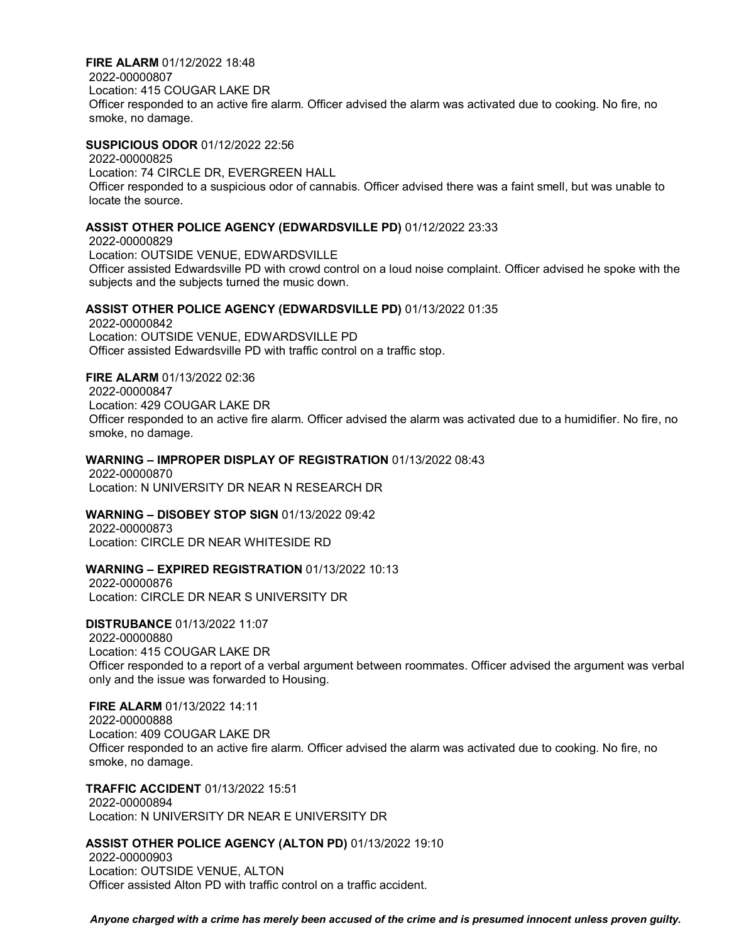#### **FIRE ALARM** 01/12/2022 18:48

2022-00000807 Location: 415 COUGAR LAKE DR Officer responded to an active fire alarm. Officer advised the alarm was activated due to cooking. No fire, no smoke, no damage.

# **SUSPICIOUS ODOR** 01/12/2022 22:56

2022-00000825 Location: 74 CIRCLE DR, EVERGREEN HALL Officer responded to a suspicious odor of cannabis. Officer advised there was a faint smell, but was unable to locate the source.

#### **ASSIST OTHER POLICE AGENCY (EDWARDSVILLE PD)** 01/12/2022 23:33

2022-00000829 Location: OUTSIDE VENUE, EDWARDSVILLE Officer assisted Edwardsville PD with crowd control on a loud noise complaint. Officer advised he spoke with the subjects and the subjects turned the music down.

#### **ASSIST OTHER POLICE AGENCY (EDWARDSVILLE PD)** 01/13/2022 01:35

2022-00000842 Location: OUTSIDE VENUE, EDWARDSVILLE PD Officer assisted Edwardsville PD with traffic control on a traffic stop.

# **FIRE ALARM** 01/13/2022 02:36

2022-00000847 Location: 429 COUGAR LAKE DR Officer responded to an active fire alarm. Officer advised the alarm was activated due to a humidifier. No fire, no smoke, no damage.

# **WARNING – IMPROPER DISPLAY OF REGISTRATION** 01/13/2022 08:43

2022-00000870 Location: N UNIVERSITY DR NEAR N RESEARCH DR

#### **WARNING – DISOBEY STOP SIGN** 01/13/2022 09:42

2022-00000873 Location: CIRCLE DR NEAR WHITESIDE RD

#### **WARNING – EXPIRED REGISTRATION** 01/13/2022 10:13

2022-00000876 Location: CIRCLE DR NEAR S UNIVERSITY DR

**DISTRUBANCE** 01/13/2022 11:07 2022-00000880 Location: 415 COUGAR LAKE DR Officer responded to a report of a verbal argument between roommates. Officer advised the argument was verbal only and the issue was forwarded to Housing.

#### **FIRE ALARM** 01/13/2022 14:11

2022-00000888 Location: 409 COUGAR LAKE DR Officer responded to an active fire alarm. Officer advised the alarm was activated due to cooking. No fire, no smoke, no damage.

# **TRAFFIC ACCIDENT** 01/13/2022 15:51

2022-00000894 Location: N UNIVERSITY DR NEAR E UNIVERSITY DR

#### **ASSIST OTHER POLICE AGENCY (ALTON PD)** 01/13/2022 19:10

2022-00000903 Location: OUTSIDE VENUE, ALTON Officer assisted Alton PD with traffic control on a traffic accident.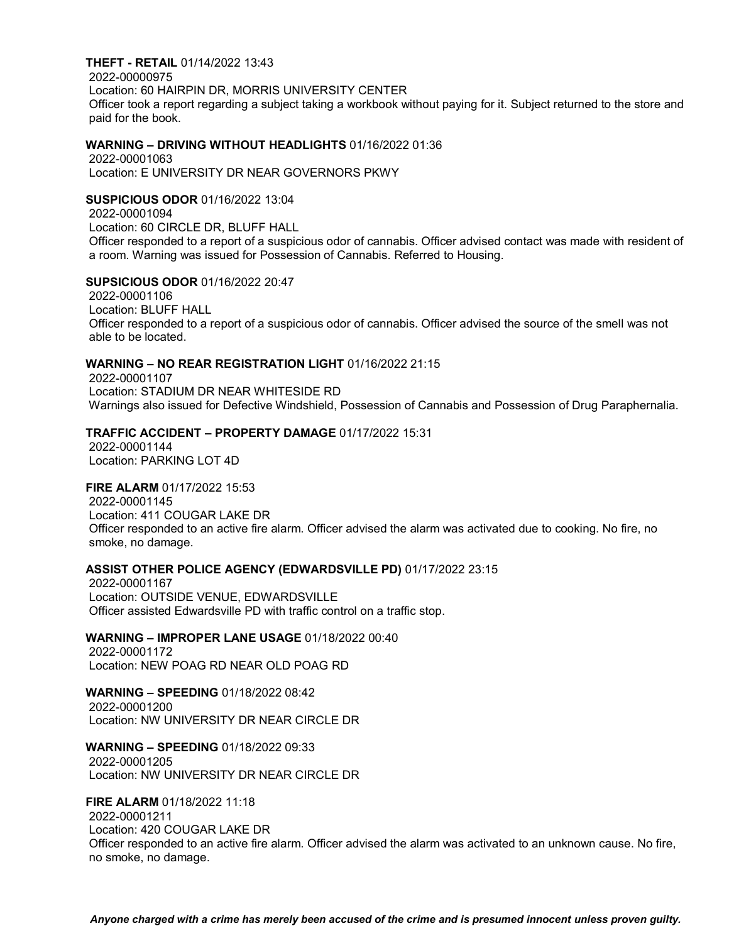#### **THEFT - RETAIL** 01/14/2022 13:43

2022-00000975 Location: 60 HAIRPIN DR, MORRIS UNIVERSITY CENTER Officer took a report regarding a subject taking a workbook without paying for it. Subject returned to the store and paid for the book.

#### **WARNING – DRIVING WITHOUT HEADLIGHTS** 01/16/2022 01:36

2022-00001063 Location: E UNIVERSITY DR NEAR GOVERNORS PKWY

#### **SUSPICIOUS ODOR** 01/16/2022 13:04

2022-00001094 Location: 60 CIRCLE DR, BLUFF HALL Officer responded to a report of a suspicious odor of cannabis. Officer advised contact was made with resident of a room. Warning was issued for Possession of Cannabis. Referred to Housing.

# **SUPSICIOUS ODOR** 01/16/2022 20:47

2022-00001106 Location: BLUFF HALL Officer responded to a report of a suspicious odor of cannabis. Officer advised the source of the smell was not able to be located.

# **WARNING – NO REAR REGISTRATION LIGHT** 01/16/2022 21:15

2022-00001107 Location: STADIUM DR NEAR WHITESIDE RD Warnings also issued for Defective Windshield, Possession of Cannabis and Possession of Drug Paraphernalia.

# **TRAFFIC ACCIDENT – PROPERTY DAMAGE** 01/17/2022 15:31

2022-00001144 Location: PARKING LOT 4D

### **FIRE ALARM** 01/17/2022 15:53

2022-00001145 Location: 411 COUGAR LAKE DR Officer responded to an active fire alarm. Officer advised the alarm was activated due to cooking. No fire, no smoke, no damage.

# **ASSIST OTHER POLICE AGENCY (EDWARDSVILLE PD)** 01/17/2022 23:15

2022-00001167 Location: OUTSIDE VENUE, EDWARDSVILLE Officer assisted Edwardsville PD with traffic control on a traffic stop.

#### **WARNING – IMPROPER LANE USAGE** 01/18/2022 00:40

2022-00001172 Location: NEW POAG RD NEAR OLD POAG RD

#### **WARNING – SPEEDING** 01/18/2022 08:42 2022-00001200

Location: NW UNIVERSITY DR NEAR CIRCLE DR

# **WARNING – SPEEDING** 01/18/2022 09:33

2022-00001205 Location: NW UNIVERSITY DR NEAR CIRCLE DR

# **FIRE ALARM** 01/18/2022 11:18

2022-00001211

Location: 420 COUGAR LAKE DR

Officer responded to an active fire alarm. Officer advised the alarm was activated to an unknown cause. No fire, no smoke, no damage.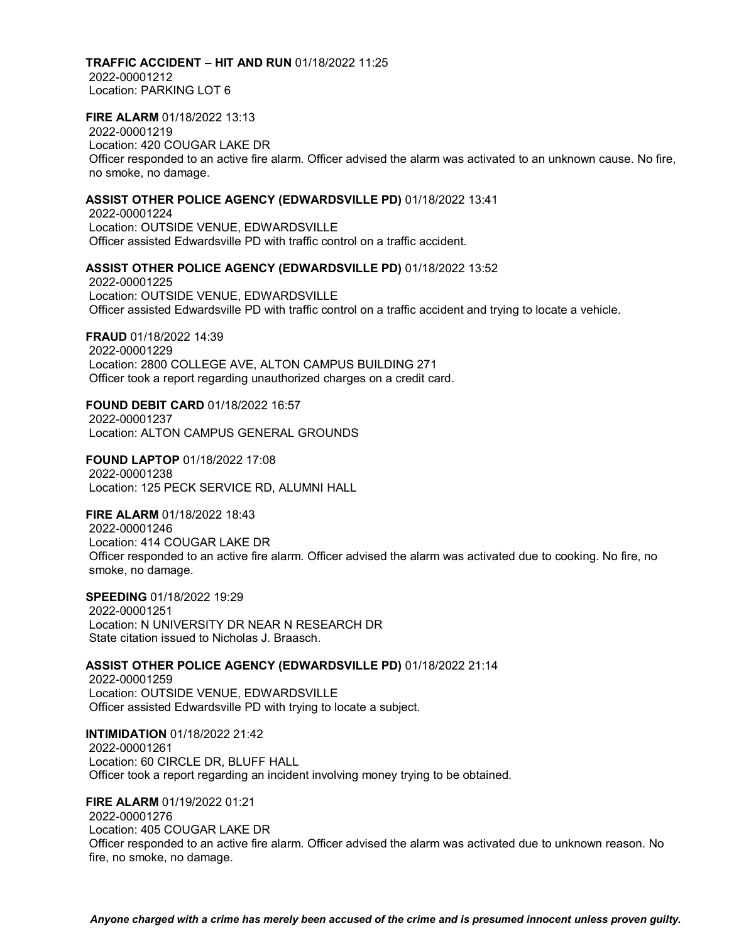#### **TRAFFIC ACCIDENT – HIT AND RUN** 01/18/2022 11:25

2022-00001212 Location: PARKING LOT 6

# **FIRE ALARM** 01/18/2022 13:13

2022-00001219 Location: 420 COUGAR LAKE DR Officer responded to an active fire alarm. Officer advised the alarm was activated to an unknown cause. No fire, no smoke, no damage.

### **ASSIST OTHER POLICE AGENCY (EDWARDSVILLE PD)** 01/18/2022 13:41

2022-00001224 Location: OUTSIDE VENUE, EDWARDSVILLE Officer assisted Edwardsville PD with traffic control on a traffic accident.

# **ASSIST OTHER POLICE AGENCY (EDWARDSVILLE PD)** 01/18/2022 13:52

2022-00001225 Location: OUTSIDE VENUE, EDWARDSVILLE Officer assisted Edwardsville PD with traffic control on a traffic accident and trying to locate a vehicle.

**FRAUD** 01/18/2022 14:39 2022-00001229 Location: 2800 COLLEGE AVE, ALTON CAMPUS BUILDING 271 Officer took a report regarding unauthorized charges on a credit card.

**FOUND DEBIT CARD** 01/18/2022 16:57 2022-00001237 Location: ALTON CAMPUS GENERAL GROUNDS

**FOUND LAPTOP** 01/18/2022 17:08 2022-00001238 Location: 125 PECK SERVICE RD, ALUMNI HALL

**FIRE ALARM** 01/18/2022 18:43 2022-00001246 Location: 414 COUGAR LAKE DR Officer responded to an active fire alarm. Officer advised the alarm was activated due to cooking. No fire, no smoke, no damage.

**SPEEDING** 01/18/2022 19:29 2022-00001251 Location: N UNIVERSITY DR NEAR N RESEARCH DR State citation issued to Nicholas J. Braasch.

#### **ASSIST OTHER POLICE AGENCY (EDWARDSVILLE PD)** 01/18/2022 21:14

2022-00001259 Location: OUTSIDE VENUE, EDWARDSVILLE Officer assisted Edwardsville PD with trying to locate a subject.

**INTIMIDATION** 01/18/2022 21:42 2022-00001261 Location: 60 CIRCLE DR, BLUFF HALL Officer took a report regarding an incident involving money trying to be obtained.

**FIRE ALARM** 01/19/2022 01:21 2022-00001276 Location: 405 COUGAR LAKE DR Officer responded to an active fire alarm. Officer advised the alarm was activated due to unknown reason. No fire, no smoke, no damage.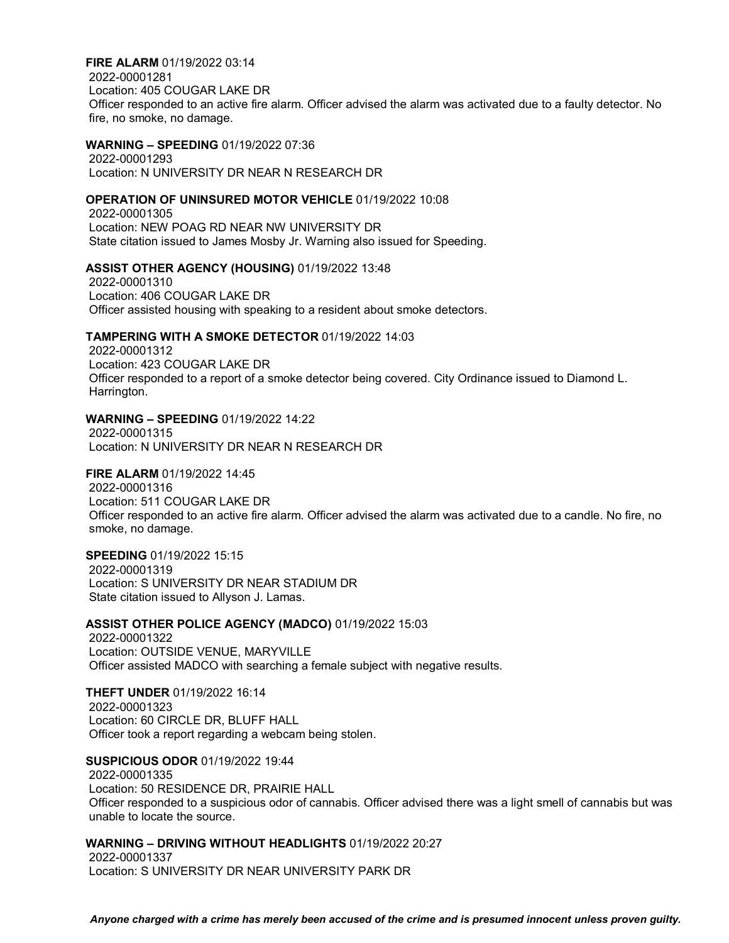**FIRE ALARM** 01/19/2022 03:14 2022-00001281 Location: 405 COUGAR LAKE DR Officer responded to an active fire alarm. Officer advised the alarm was activated due to a faulty detector. No fire, no smoke, no damage.

#### **WARNING – SPEEDING** 01/19/2022 07:36

2022-00001293 Location: N UNIVERSITY DR NEAR N RESEARCH DR

#### **OPERATION OF UNINSURED MOTOR VEHICLE** 01/19/2022 10:08

2022-00001305 Location: NEW POAG RD NEAR NW UNIVERSITY DR State citation issued to James Mosby Jr. Warning also issued for Speeding.

#### **ASSIST OTHER AGENCY (HOUSING)** 01/19/2022 13:48

2022-00001310 Location: 406 COUGAR LAKE DR Officer assisted housing with speaking to a resident about smoke detectors.

#### **TAMPERING WITH A SMOKE DETECTOR** 01/19/2022 14:03

2022-00001312 Location: 423 COUGAR LAKE DR Officer responded to a report of a smoke detector being covered. City Ordinance issued to Diamond L. Harrington.

# **WARNING – SPEEDING** 01/19/2022 14:22

2022-00001315 Location: N UNIVERSITY DR NEAR N RESEARCH DR

# **FIRE ALARM** 01/19/2022 14:45

2022-00001316 Location: 511 COUGAR LAKE DR Officer responded to an active fire alarm. Officer advised the alarm was activated due to a candle. No fire, no smoke, no damage.

# **SPEEDING** 01/19/2022 15:15

2022-00001319 Location: S UNIVERSITY DR NEAR STADIUM DR State citation issued to Allyson J. Lamas.

#### **ASSIST OTHER POLICE AGENCY (MADCO)** 01/19/2022 15:03

2022-00001322 Location: OUTSIDE VENUE, MARYVILLE Officer assisted MADCO with searching a female subject with negative results.

### **THEFT UNDER** 01/19/2022 16:14

2022-00001323 Location: 60 CIRCLE DR, BLUFF HALL Officer took a report regarding a webcam being stolen.

**SUSPICIOUS ODOR** 01/19/2022 19:44 2022-00001335 Location: 50 RESIDENCE DR, PRAIRIE HALL Officer responded to a suspicious odor of cannabis. Officer advised there was a light smell of cannabis but was unable to locate the source.

#### **WARNING – DRIVING WITHOUT HEADLIGHTS** 01/19/2022 20:27

2022-00001337 Location: S UNIVERSITY DR NEAR UNIVERSITY PARK DR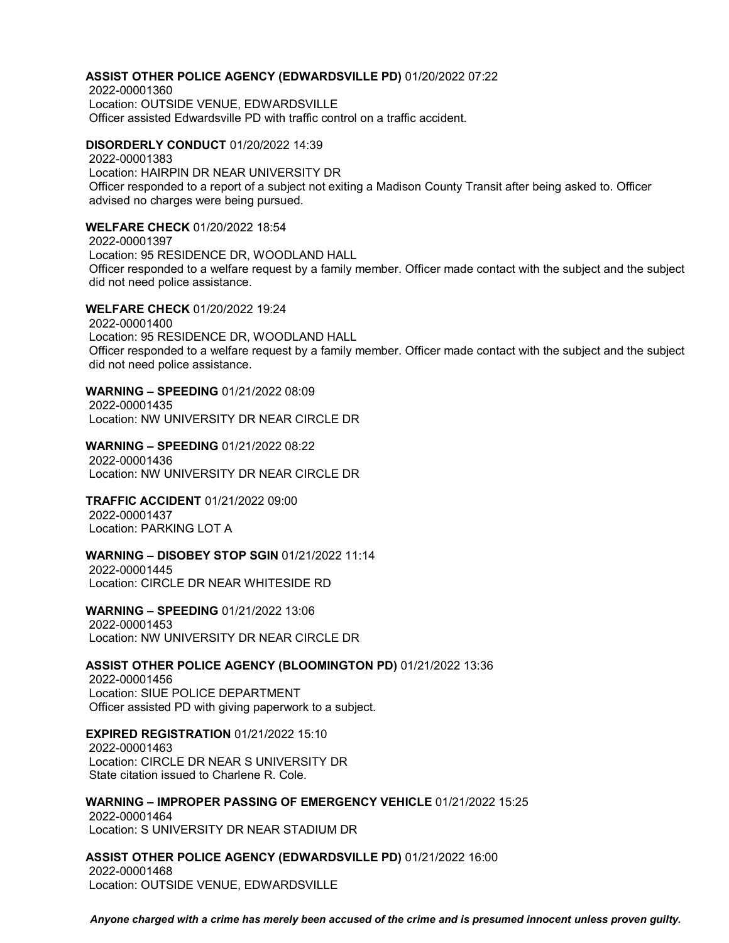# **ASSIST OTHER POLICE AGENCY (EDWARDSVILLE PD)** 01/20/2022 07:22

2022-00001360 Location: OUTSIDE VENUE, EDWARDSVILLE Officer assisted Edwardsville PD with traffic control on a traffic accident.

**DISORDERLY CONDUCT** 01/20/2022 14:39 2022-00001383 Location: HAIRPIN DR NEAR UNIVERSITY DR Officer responded to a report of a subject not exiting a Madison County Transit after being asked to. Officer advised no charges were being pursued.

#### **WELFARE CHECK** 01/20/2022 18:54

2022-00001397 Location: 95 RESIDENCE DR, WOODLAND HALL Officer responded to a welfare request by a family member. Officer made contact with the subject and the subject did not need police assistance.

**WELFARE CHECK** 01/20/2022 19:24 2022-00001400 Location: 95 RESIDENCE DR, WOODLAND HALL Officer responded to a welfare request by a family member. Officer made contact with the subject and the subject did not need police assistance.

# **WARNING – SPEEDING** 01/21/2022 08:09

2022-00001435 Location: NW UNIVERSITY DR NEAR CIRCLE DR

**WARNING – SPEEDING** 01/21/2022 08:22 2022-00001436 Location: NW UNIVERSITY DR NEAR CIRCLE DR

# **TRAFFIC ACCIDENT** 01/21/2022 09:00

2022-00001437 Location: PARKING LOT A

#### **WARNING – DISOBEY STOP SGIN** 01/21/2022 11:14

2022-00001445 Location: CIRCLE DR NEAR WHITESIDE RD

**WARNING – SPEEDING** 01/21/2022 13:06 2022-00001453 Location: NW UNIVERSITY DR NEAR CIRCLE DR

#### **ASSIST OTHER POLICE AGENCY (BLOOMINGTON PD)** 01/21/2022 13:36

2022-00001456 Location: SIUE POLICE DEPARTMENT Officer assisted PD with giving paperwork to a subject.

# **EXPIRED REGISTRATION** 01/21/2022 15:10

2022-00001463 Location: CIRCLE DR NEAR S UNIVERSITY DR State citation issued to Charlene R. Cole.

# **WARNING – IMPROPER PASSING OF EMERGENCY VEHICLE** 01/21/2022 15:25

2022-00001464 Location: S UNIVERSITY DR NEAR STADIUM DR

**ASSIST OTHER POLICE AGENCY (EDWARDSVILLE PD)** 01/21/2022 16:00 2022-00001468 Location: OUTSIDE VENUE, EDWARDSVILLE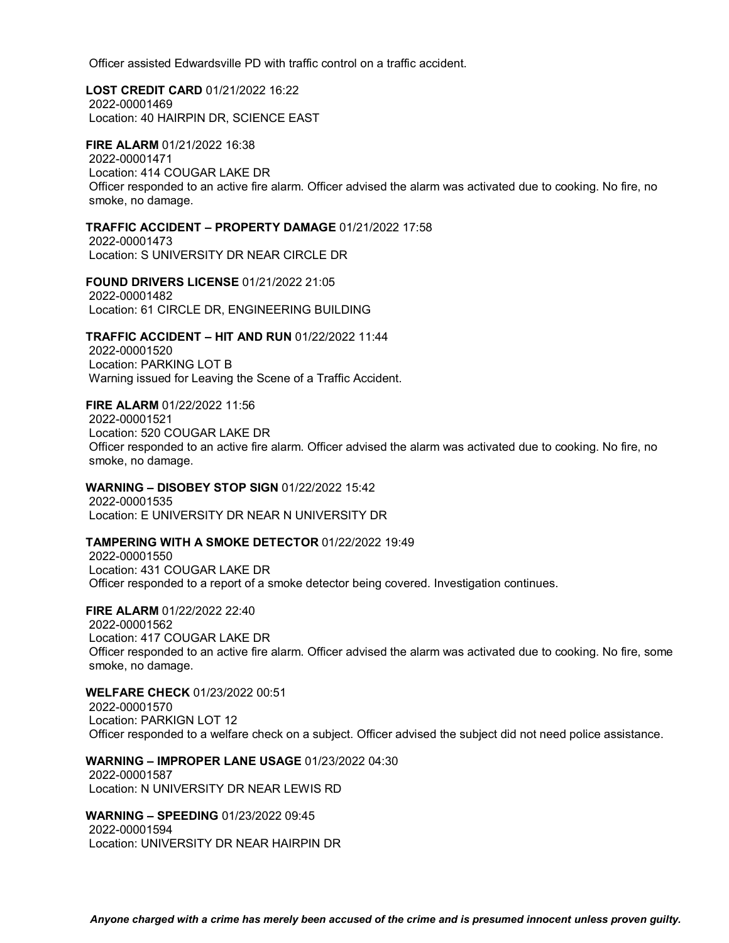Officer assisted Edwardsville PD with traffic control on a traffic accident.

**LOST CREDIT CARD** 01/21/2022 16:22 2022-00001469 Location: 40 HAIRPIN DR, SCIENCE EAST

**FIRE ALARM** 01/21/2022 16:38 2022-00001471 Location: 414 COUGAR LAKE DR Officer responded to an active fire alarm. Officer advised the alarm was activated due to cooking. No fire, no smoke, no damage.

#### **TRAFFIC ACCIDENT – PROPERTY DAMAGE** 01/21/2022 17:58

2022-00001473 Location: S UNIVERSITY DR NEAR CIRCLE DR

**FOUND DRIVERS LICENSE** 01/21/2022 21:05 2022-00001482 Location: 61 CIRCLE DR, ENGINEERING BUILDING

**TRAFFIC ACCIDENT – HIT AND RUN** 01/22/2022 11:44

2022-00001520 Location: PARKING LOT B Warning issued for Leaving the Scene of a Traffic Accident.

#### **FIRE ALARM** 01/22/2022 11:56

2022-00001521 Location: 520 COUGAR LAKE DR Officer responded to an active fire alarm. Officer advised the alarm was activated due to cooking. No fire, no smoke, no damage.

#### **WARNING – DISOBEY STOP SIGN** 01/22/2022 15:42

2022-00001535 Location: E UNIVERSITY DR NEAR N UNIVERSITY DR

#### **TAMPERING WITH A SMOKE DETECTOR** 01/22/2022 19:49

2022-00001550 Location: 431 COUGAR LAKE DR Officer responded to a report of a smoke detector being covered. Investigation continues.

**FIRE ALARM** 01/22/2022 22:40 2022-00001562 Location: 417 COUGAR LAKE DR Officer responded to an active fire alarm. Officer advised the alarm was activated due to cooking. No fire, some smoke, no damage.

**WELFARE CHECK** 01/23/2022 00:51 2022-00001570 Location: PARKIGN LOT 12 Officer responded to a welfare check on a subject. Officer advised the subject did not need police assistance.

#### **WARNING – IMPROPER LANE USAGE** 01/23/2022 04:30

2022-00001587 Location: N UNIVERSITY DR NEAR LEWIS RD

**WARNING – SPEEDING** 01/23/2022 09:45 2022-00001594 Location: UNIVERSITY DR NEAR HAIRPIN DR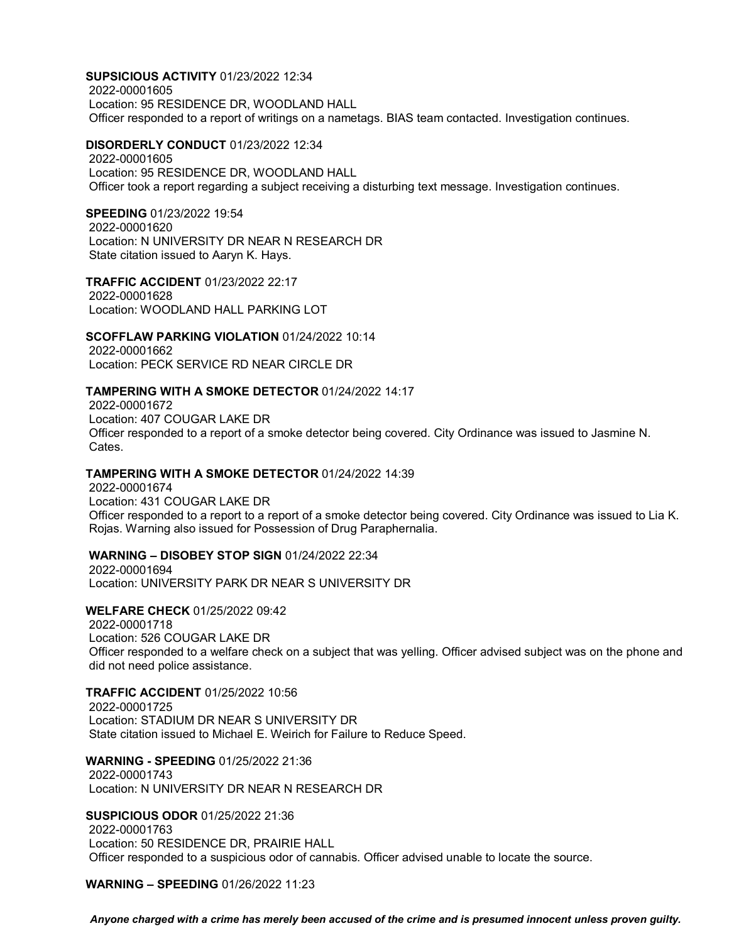**SUPSICIOUS ACTIVITY** 01/23/2022 12:34 2022-00001605 Location: 95 RESIDENCE DR, WOODLAND HALL Officer responded to a report of writings on a nametags. BIAS team contacted. Investigation continues.

#### **DISORDERLY CONDUCT** 01/23/2022 12:34

2022-00001605 Location: 95 RESIDENCE DR, WOODLAND HALL Officer took a report regarding a subject receiving a disturbing text message. Investigation continues.

#### **SPEEDING** 01/23/2022 19:54

2022-00001620 Location: N UNIVERSITY DR NEAR N RESEARCH DR State citation issued to Aaryn K. Hays.

**TRAFFIC ACCIDENT** 01/23/2022 22:17 2022-00001628 Location: WOODLAND HALL PARKING LOT

#### **SCOFFLAW PARKING VIOLATION** 01/24/2022 10:14

2022-00001662 Location: PECK SERVICE RD NEAR CIRCLE DR

#### **TAMPERING WITH A SMOKE DETECTOR** 01/24/2022 14:17

2022-00001672 Location: 407 COUGAR LAKE DR Officer responded to a report of a smoke detector being covered. City Ordinance was issued to Jasmine N. Cates.

### **TAMPERING WITH A SMOKE DETECTOR** 01/24/2022 14:39

2022-00001674 Location: 431 COUGAR LAKE DR Officer responded to a report to a report of a smoke detector being covered. City Ordinance was issued to Lia K. Rojas. Warning also issued for Possession of Drug Paraphernalia.

#### **WARNING – DISOBEY STOP SIGN** 01/24/2022 22:34

2022-00001694 Location: UNIVERSITY PARK DR NEAR S UNIVERSITY DR

# **WELFARE CHECK** 01/25/2022 09:42

2022-00001718 Location: 526 COUGAR LAKE DR Officer responded to a welfare check on a subject that was yelling. Officer advised subject was on the phone and did not need police assistance.

# **TRAFFIC ACCIDENT** 01/25/2022 10:56

2022-00001725 Location: STADIUM DR NEAR S UNIVERSITY DR State citation issued to Michael E. Weirich for Failure to Reduce Speed.

#### **WARNING - SPEEDING** 01/25/2022 21:36 2022-00001743 Location: N UNIVERSITY DR NEAR N RESEARCH DR

#### **SUSPICIOUS ODOR** 01/25/2022 21:36

2022-00001763 Location: 50 RESIDENCE DR, PRAIRIE HALL Officer responded to a suspicious odor of cannabis. Officer advised unable to locate the source.

### **WARNING – SPEEDING** 01/26/2022 11:23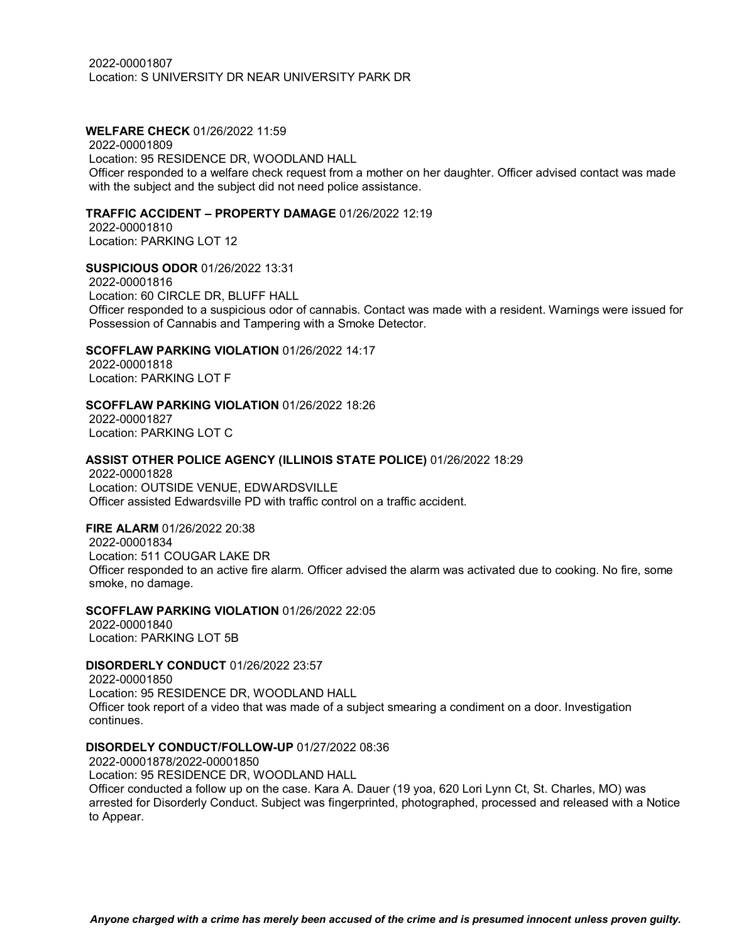# **WELFARE CHECK** 01/26/2022 11:59

2022-00001809 Location: 95 RESIDENCE DR, WOODLAND HALL Officer responded to a welfare check request from a mother on her daughter. Officer advised contact was made with the subject and the subject did not need police assistance.

#### **TRAFFIC ACCIDENT – PROPERTY DAMAGE** 01/26/2022 12:19

2022-00001810 Location: PARKING LOT 12

# **SUSPICIOUS ODOR** 01/26/2022 13:31

2022-00001816 Location: 60 CIRCLE DR, BLUFF HALL Officer responded to a suspicious odor of cannabis. Contact was made with a resident. Warnings were issued for Possession of Cannabis and Tampering with a Smoke Detector.

# **SCOFFLAW PARKING VIOLATION** 01/26/2022 14:17

2022-00001818 Location: PARKING LOT F

#### **SCOFFLAW PARKING VIOLATION** 01/26/2022 18:26

2022-00001827 Location: PARKING LOT C

#### **ASSIST OTHER POLICE AGENCY (ILLINOIS STATE POLICE)** 01/26/2022 18:29

2022-00001828 Location: OUTSIDE VENUE, EDWARDSVILLE Officer assisted Edwardsville PD with traffic control on a traffic accident.

#### **FIRE ALARM** 01/26/2022 20:38

2022-00001834 Location: 511 COUGAR LAKE DR Officer responded to an active fire alarm. Officer advised the alarm was activated due to cooking. No fire, some smoke, no damage.

#### **SCOFFLAW PARKING VIOLATION** 01/26/2022 22:05

2022-00001840 Location: PARKING LOT 5B

#### **DISORDERLY CONDUCT** 01/26/2022 23:57

2022-00001850 Location: 95 RESIDENCE DR, WOODLAND HALL Officer took report of a video that was made of a subject smearing a condiment on a door. Investigation continues.

# **DISORDELY CONDUCT/FOLLOW-UP** 01/27/2022 08:36

2022-00001878/2022-00001850 Location: 95 RESIDENCE DR, WOODLAND HALL Officer conducted a follow up on the case. Kara A. Dauer (19 yoa, 620 Lori Lynn Ct, St. Charles, MO) was arrested for Disorderly Conduct. Subject was fingerprinted, photographed, processed and released with a Notice to Appear.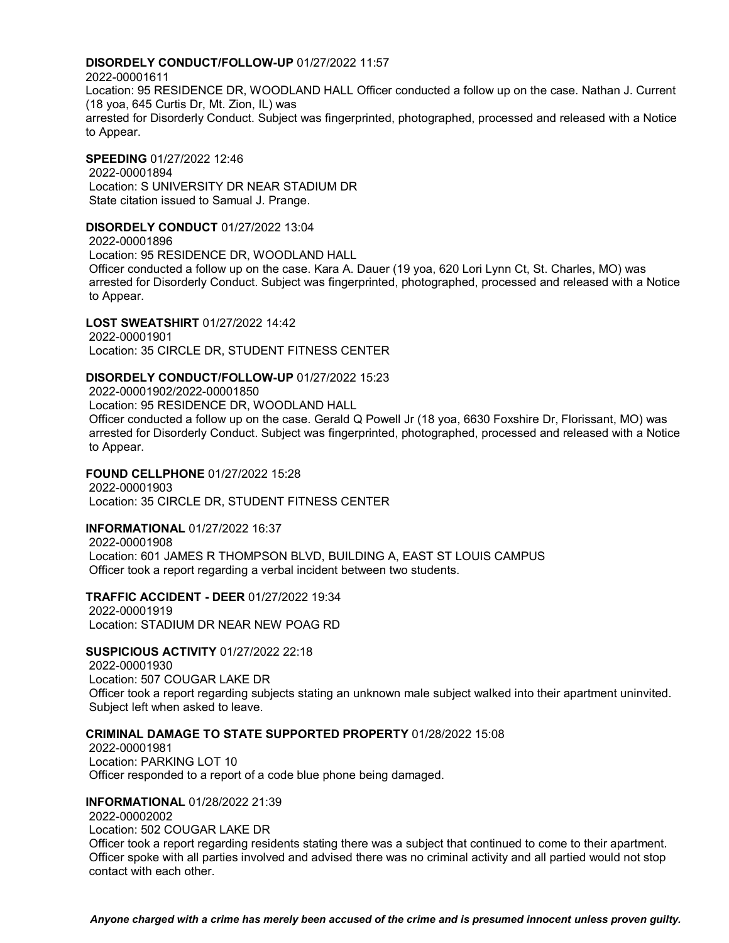#### **DISORDELY CONDUCT/FOLLOW-UP** 01/27/2022 11:57

2022-00001611 Location: 95 RESIDENCE DR, WOODLAND HALL Officer conducted a follow up on the case. Nathan J. Current (18 yoa, 645 Curtis Dr, Mt. Zion, IL) was arrested for Disorderly Conduct. Subject was fingerprinted, photographed, processed and released with a Notice to Appear.

**SPEEDING** 01/27/2022 12:46 2022-00001894 Location: S UNIVERSITY DR NEAR STADIUM DR State citation issued to Samual J. Prange.

#### **DISORDELY CONDUCT** 01/27/2022 13:04

2022-00001896 Location: 95 RESIDENCE DR, WOODLAND HALL Officer conducted a follow up on the case. Kara A. Dauer (19 yoa, 620 Lori Lynn Ct, St. Charles, MO) was arrested for Disorderly Conduct. Subject was fingerprinted, photographed, processed and released with a Notice to Appear.

# **LOST SWEATSHIRT** 01/27/2022 14:42

2022-00001901 Location: 35 CIRCLE DR, STUDENT FITNESS CENTER

#### **DISORDELY CONDUCT/FOLLOW-UP** 01/27/2022 15:23

2022-00001902/2022-00001850 Location: 95 RESIDENCE DR, WOODLAND HALL Officer conducted a follow up on the case. Gerald Q Powell Jr (18 yoa, 6630 Foxshire Dr, Florissant, MO) was arrested for Disorderly Conduct. Subject was fingerprinted, photographed, processed and released with a Notice to Appear.

# **FOUND CELLPHONE** 01/27/2022 15:28 2022-00001903

Location: 35 CIRCLE DR, STUDENT FITNESS CENTER

### **INFORMATIONAL** 01/27/2022 16:37

2022-00001908 Location: 601 JAMES R THOMPSON BLVD, BUILDING A, EAST ST LOUIS CAMPUS Officer took a report regarding a verbal incident between two students.

#### **TRAFFIC ACCIDENT - DEER** 01/27/2022 19:34

2022-00001919 Location: STADIUM DR NEAR NEW POAG RD

#### **SUSPICIOUS ACTIVITY** 01/27/2022 22:18

2022-00001930 Location: 507 COUGAR LAKE DR Officer took a report regarding subjects stating an unknown male subject walked into their apartment uninvited. Subject left when asked to leave.

# **CRIMINAL DAMAGE TO STATE SUPPORTED PROPERTY** 01/28/2022 15:08

2022-00001981 Location: PARKING LOT 10 Officer responded to a report of a code blue phone being damaged.

#### **INFORMATIONAL** 01/28/2022 21:39

2022-00002002

Location: 502 COUGAR LAKE DR

Officer took a report regarding residents stating there was a subject that continued to come to their apartment. Officer spoke with all parties involved and advised there was no criminal activity and all partied would not stop contact with each other.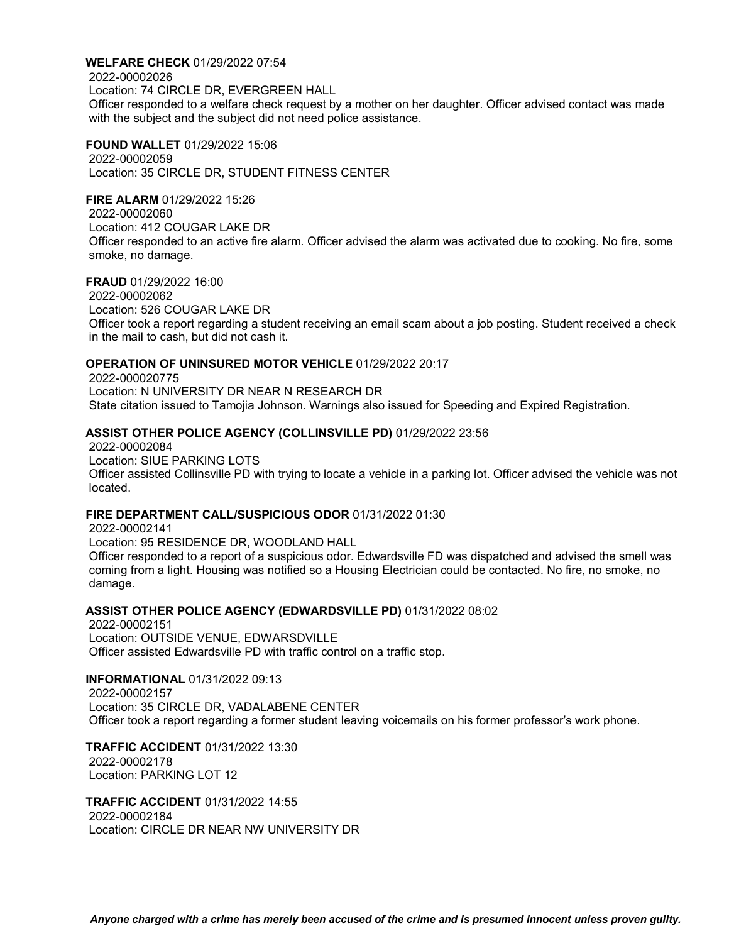**WELFARE CHECK** 01/29/2022 07:54 2022-00002026 Location: 74 CIRCLE DR, EVERGREEN HALL Officer responded to a welfare check request by a mother on her daughter. Officer advised contact was made with the subject and the subject did not need police assistance.

**FOUND WALLET** 01/29/2022 15:06 2022-00002059 Location: 35 CIRCLE DR, STUDENT FITNESS CENTER

# **FIRE ALARM** 01/29/2022 15:26

2022-00002060 Location: 412 COUGAR LAKE DR Officer responded to an active fire alarm. Officer advised the alarm was activated due to cooking. No fire, some smoke, no damage.

# **FRAUD** 01/29/2022 16:00

2022-00002062 Location: 526 COUGAR LAKE DR Officer took a report regarding a student receiving an email scam about a job posting. Student received a check in the mail to cash, but did not cash it.

# **OPERATION OF UNINSURED MOTOR VEHICLE** 01/29/2022 20:17

2022-000020775 Location: N UNIVERSITY DR NEAR N RESEARCH DR State citation issued to Tamojia Johnson. Warnings also issued for Speeding and Expired Registration.

# **ASSIST OTHER POLICE AGENCY (COLLINSVILLE PD)** 01/29/2022 23:56

2022-00002084 Location: SIUE PARKING LOTS Officer assisted Collinsville PD with trying to locate a vehicle in a parking lot. Officer advised the vehicle was not located.

# **FIRE DEPARTMENT CALL/SUSPICIOUS ODOR** 01/31/2022 01:30

2022-00002141

Location: 95 RESIDENCE DR, WOODLAND HALL

Officer responded to a report of a suspicious odor. Edwardsville FD was dispatched and advised the smell was coming from a light. Housing was notified so a Housing Electrician could be contacted. No fire, no smoke, no damage.

# **ASSIST OTHER POLICE AGENCY (EDWARDSVILLE PD)** 01/31/2022 08:02

2022-00002151 Location: OUTSIDE VENUE, EDWARSDVILLE Officer assisted Edwardsville PD with traffic control on a traffic stop.

# **INFORMATIONAL** 01/31/2022 09:13

2022-00002157 Location: 35 CIRCLE DR, VADALABENE CENTER Officer took a report regarding a former student leaving voicemails on his former professor's work phone.

#### **TRAFFIC ACCIDENT** 01/31/2022 13:30 2022-00002178 Location: PARKING LOT 12

**TRAFFIC ACCIDENT** 01/31/2022 14:55 2022-00002184 Location: CIRCLE DR NEAR NW UNIVERSITY DR